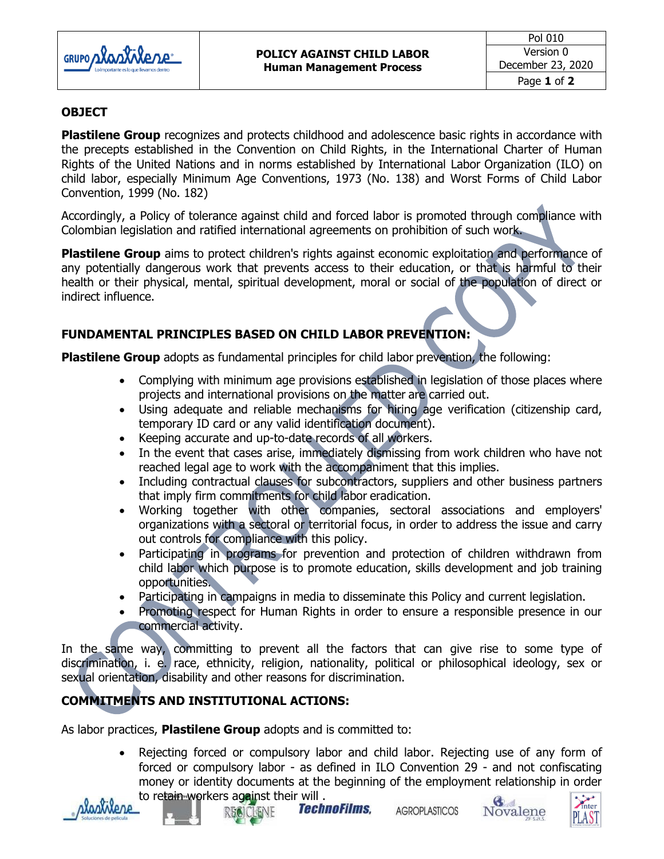

## **OBJECT**

**Plastilene Group** recognizes and protects childhood and adolescence basic rights in accordance with the precepts established in the Convention on Child Rights, in the International Charter of Human Rights of the United Nations and in norms established by International Labor Organization (ILO) on child labor, especially Minimum Age Conventions, 1973 (No. 138) and Worst Forms of Child Labor Convention, 1999 (No. 182)

Accordingly, a Policy of tolerance against child and forced labor is promoted through compliance with Colombian legislation and ratified international agreements on prohibition of such work.

**Plastilene Group** aims to protect children's rights against economic exploitation and performance of any potentially dangerous work that prevents access to their education, or that is harmful to their health or their physical, mental, spiritual development, moral or social of the population of direct or indirect influence.

## **FUNDAMENTAL PRINCIPLES BASED ON CHILD LABOR PREVENTION:**

**Plastilene Group** adopts as fundamental principles for child labor prevention, the following:

- Complying with minimum age provisions established in legislation of those places where projects and international provisions on the matter are carried out.
- Using adequate and reliable mechanisms for hiring age verification (citizenship card, temporary ID card or any valid identification document).
- Keeping accurate and up-to-date records of all workers.
- In the event that cases arise, immediately dismissing from work children who have not reached legal age to work with the accompaniment that this implies.
- Including contractual clauses for subcontractors, suppliers and other business partners that imply firm commitments for child labor eradication.
- Working together with other companies, sectoral associations and employers' organizations with a sectoral or territorial focus, in order to address the issue and carry out controls for compliance with this policy.
- Participating in programs for prevention and protection of children withdrawn from child labor which purpose is to promote education, skills development and job training opportunities.
- Participating in campaigns in media to disseminate this Policy and current legislation.
- Promoting respect for Human Rights in order to ensure a responsible presence in our commercial activity.

In the same way, committing to prevent all the factors that can give rise to some type of discrimination, i. e. race, ethnicity, religion, nationality, political or philosophical ideology, sex or sexual orientation, disability and other reasons for discrimination.

## **COMMITMENTS AND INSTITUTIONAL ACTIONS:**

As labor practices, **Plastilene Group** adopts and is committed to:

 Rejecting forced or compulsory labor and child labor. Rejecting use of any form of forced or compulsory labor - as defined in ILO Convention 29 - and not confiscating money or identity documents at the beginning of the employment relationship in order to retain workers against their will.





Technofilms,

**AGROPLASTICOS**